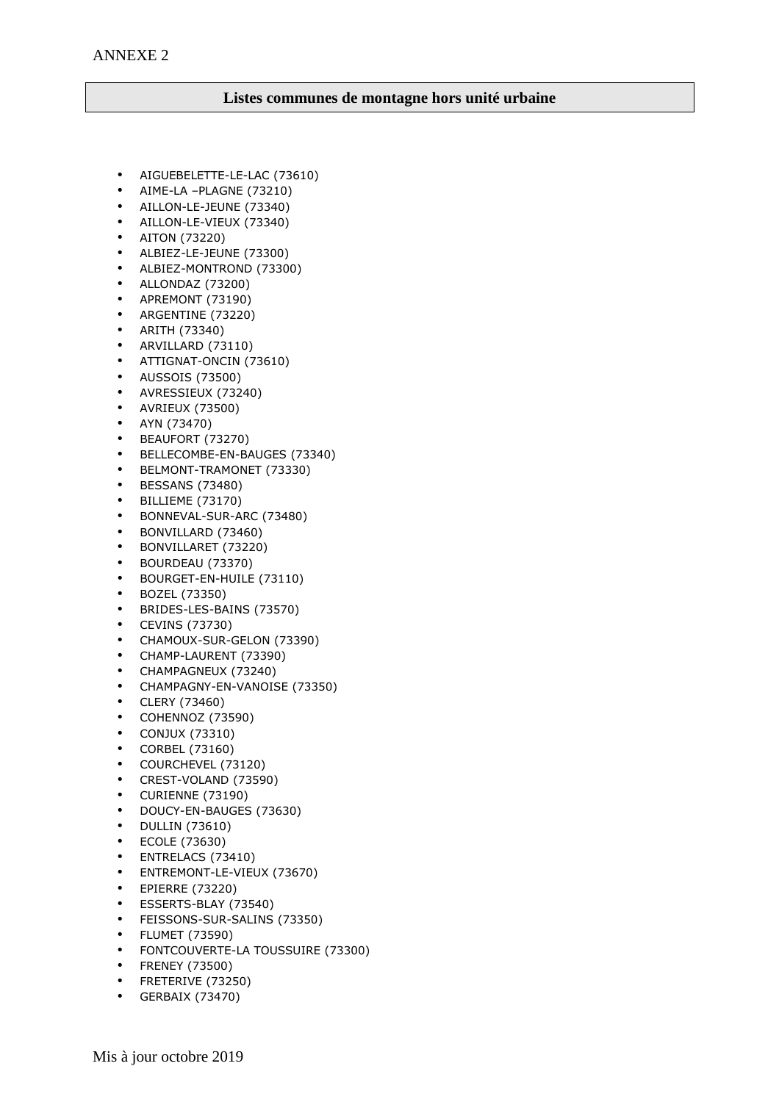## **Listes communes de montagne hors unité urbaine**

- AIGUEBELETTE-LE-LAC (73610)
- AIME-LA –PLAGNE (73210)
- AILLON-LE-JEUNE (73340)
- AILLON-LE-VIEUX (73340)
- AITON (73220)
- ALBIEZ-LE-JEUNE (73300)
- ALBIEZ-MONTROND (73300)
- ALLONDAZ (73200)
- APREMONT (73190)
- ARGENTINE (73220)
- ARITH (73340)
- ARVILLARD (73110)
- ATTIGNAT-ONCIN (73610)
- AUSSOIS (73500)
- AVRESSIEUX (73240)
- AVRIEUX (73500)
- AYN (73470)
- BEAUFORT (73270)
- BELLECOMBE-EN-BAUGES (73340)
- BELMONT-TRAMONET (73330)
- BESSANS (73480)
- BILLIEME (73170)
- BONNEVAL-SUR-ARC (73480)
- BONVILLARD (73460)
- BONVILLARET (73220)
- BOURDEAU (73370)
- BOURGET-EN-HUILE (73110)
- BOZEL (73350)
- BRIDES-LES-BAINS (73570)
- CEVINS (73730)
- CHAMOUX-SUR-GELON (73390)
- CHAMP-LAURENT (73390)
- CHAMPAGNEUX (73240)
- CHAMPAGNY-EN-VANOISE (73350)
- CLERY (73460)
- COHENNOZ (73590)
- CONJUX (73310)
- CORBEL (73160)
- COURCHEVEL (73120)
- CREST-VOLAND (73590)
- CURIENNE (73190)
- DOUCY-EN-BAUGES (73630)
- DULLIN (73610)
- ECOLE (73630)
- ENTRELACS (73410)
- ENTREMONT-LE-VIEUX (73670)
- EPIERRE (73220)
- ESSERTS-BLAY (73540)
- FEISSONS-SUR-SALINS (73350)
- FLUMET (73590)
- FONTCOUVERTE-LA TOUSSUIRE (73300)
- FRENEY (73500)
- FRETERIVE (73250)
- GERBAIX (73470)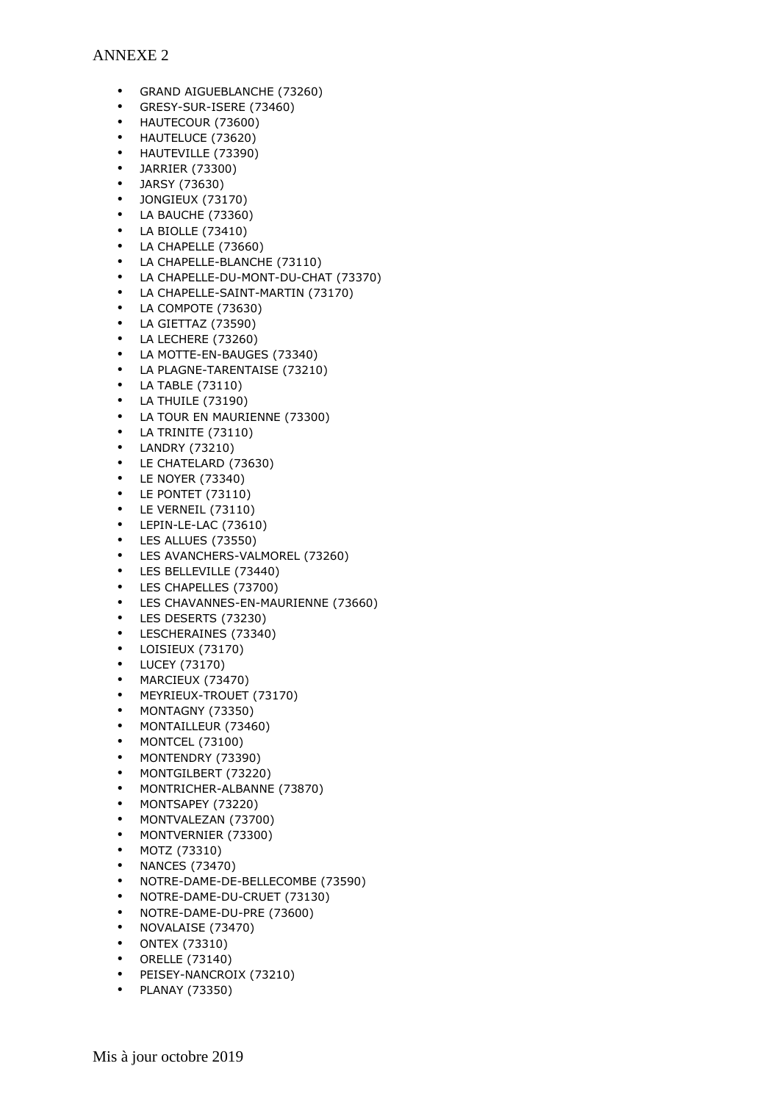## ANNEXE 2

- GRAND AIGUEBLANCHE (73260)
- GRESY-SUR-ISERE (73460)
- HAUTECOUR (73600)
- HAUTELUCE (73620)
- HAUTEVILLE (73390)
- JARRIER (73300)
- JARSY (73630)
- JONGIEUX (73170) • LA BAUCHE (73360)
- LA BIOLLE (73410)
- LA CHAPELLE (73660)
- LA CHAPELLE-BLANCHE (73110)
- LA CHAPELLE-DU-MONT-DU-CHAT (73370)
- LA CHAPELLE-SAINT-MARTIN (73170)
- LA COMPOTE (73630)
- LA GIETTAZ (73590)
- LA LECHERE (73260)
- LA MOTTE-EN-BAUGES (73340)
- LA PLAGNE-TARENTAISE (73210)
- LA TABLE (73110)
- LA THUILE (73190)
- LA TOUR EN MAURIENNE (73300)
- LA TRINITE (73110)
- LANDRY (73210)
- LE CHATELARD (73630)
- LE NOYER (73340)
- LE PONTET (73110)
- LE VERNEIL (73110)
- LEPIN-LE-LAC (73610)
- LES ALLUES (73550)
- LES AVANCHERS-VALMOREL (73260)
- LES BELLEVILLE (73440)
- LES CHAPELLES (73700)
- LES CHAVANNES-EN-MAURIENNE (73660)
- LES DESERTS (73230)
- LESCHERAINES (73340)
- LOISIEUX (73170)
- LUCEY (73170)
- MARCIEUX (73470)
- MEYRIEUX-TROUET (73170)
- MONTAGNY (73350)
- MONTAILLEUR (73460)
- MONTCEL (73100)
- MONTENDRY (73390)
- MONTGILBERT (73220)
- MONTRICHER-ALBANNE (73870)
- MONTSAPEY (73220)
- MONTVALEZAN (73700)
- MONTVERNIER (73300)
- MOTZ (73310)
- NANCES (73470)
- NOTRE-DAME-DE-BELLECOMBE (73590)
- NOTRE-DAME-DU-CRUET (73130)
- NOTRE-DAME-DU-PRE (73600)
- NOVALAISE (73470)
- ONTEX (73310)
- ORELLE (73140)
- PEISEY-NANCROIX (73210)
- PLANAY (73350)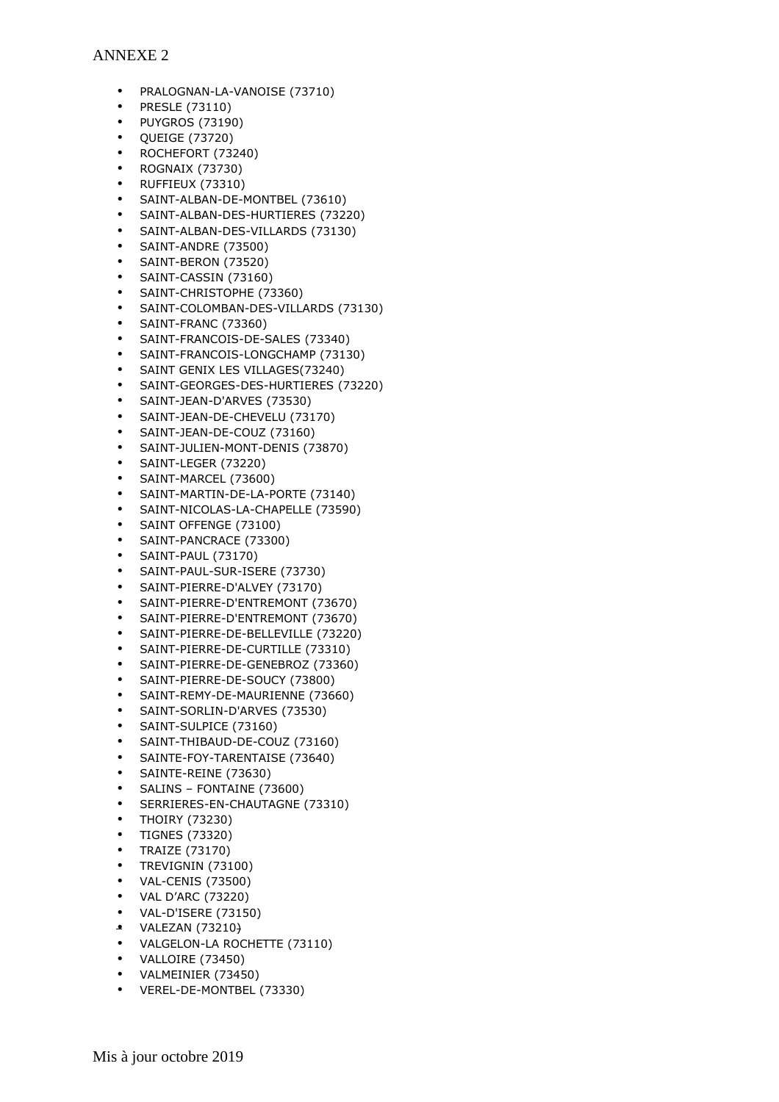## ANNEXE 2

- PRALOGNAN-LA-VANOISE (73710)
- PRESLE (73110)
- PUYGROS (73190)
- QUEIGE (73720)
- ROCHEFORT (73240)
- ROGNAIX (73730)
- RUFFIEUX (73310)
- SAINT-ALBAN-DE-MONTBEL (73610)
- SAINT-ALBAN-DES-HURTIERES (73220)
- SAINT-ALBAN-DES-VILLARDS (73130)
- SAINT-ANDRE (73500)
- SAINT-BERON (73520)
- SAINT-CASSIN (73160)
- SAINT-CHRISTOPHE (73360)
- SAINT-COLOMBAN-DES-VILLARDS (73130)
- SAINT-FRANC (73360)
- SAINT-FRANCOIS-DE-SALES (73340)
- SAINT-FRANCOIS-LONGCHAMP (73130)
- SAINT GENIX LES VILLAGES(73240)
- SAINT-GEORGES-DES-HURTIERES (73220)
- SAINT-JEAN-D'ARVES (73530)
- SAINT-JEAN-DE-CHEVELU (73170)
- SAINT-JEAN-DE-COUZ (73160)
- SAINT-JULIEN-MONT-DENIS (73870)
- SAINT-LEGER (73220)
- SAINT-MARCEL (73600)
- SAINT-MARTIN-DE-LA-PORTE (73140)
- SAINT-NICOLAS-LA-CHAPELLE (73590)
- SAINT OFFENGE (73100)
- SAINT-PANCRACE (73300)
- SAINT-PAUL (73170)
- SAINT-PAUL-SUR-ISERE (73730)
- SAINT-PIERRE-D'ALVEY (73170)
- SAINT-PIERRE-D'ENTREMONT (73670)
- SAINT-PIERRE-D'ENTREMONT (73670)
- SAINT-PIERRE-DE-BELLEVILLE (73220)
- SAINT-PIERRE-DE-CURTILLE (73310)
- SAINT-PIERRE-DE-GENEBROZ (73360)
- SAINT-PIERRE-DE-SOUCY (73800)
- SAINT-REMY-DE-MAURIENNE (73660)
- SAINT-SORLIN-D'ARVES (73530)
- SAINT-SULPICE (73160)
- SAINT-THIBAUD-DE-COUZ (73160)
- SAINTE-FOY-TARENTAISE (73640)
- SAINTE-REINE (73630)
- SALINS FONTAINE (73600)
- SERRIERES-EN-CHAUTAGNE (73310)
- THOIRY (73230)
- TIGNES (73320)
- TRAIZE (73170)
- TREVIGNIN (73100)
- VAL-CENIS (73500)
- VAL D'ARC (73220)
- VAL-D'ISERE (73150)
- VALEZAN (73210)
- VALGELON-LA ROCHETTE (73110)
- VALLOIRE (73450)
- VALMEINIER (73450)
- VEREL-DE-MONTBEL (73330)